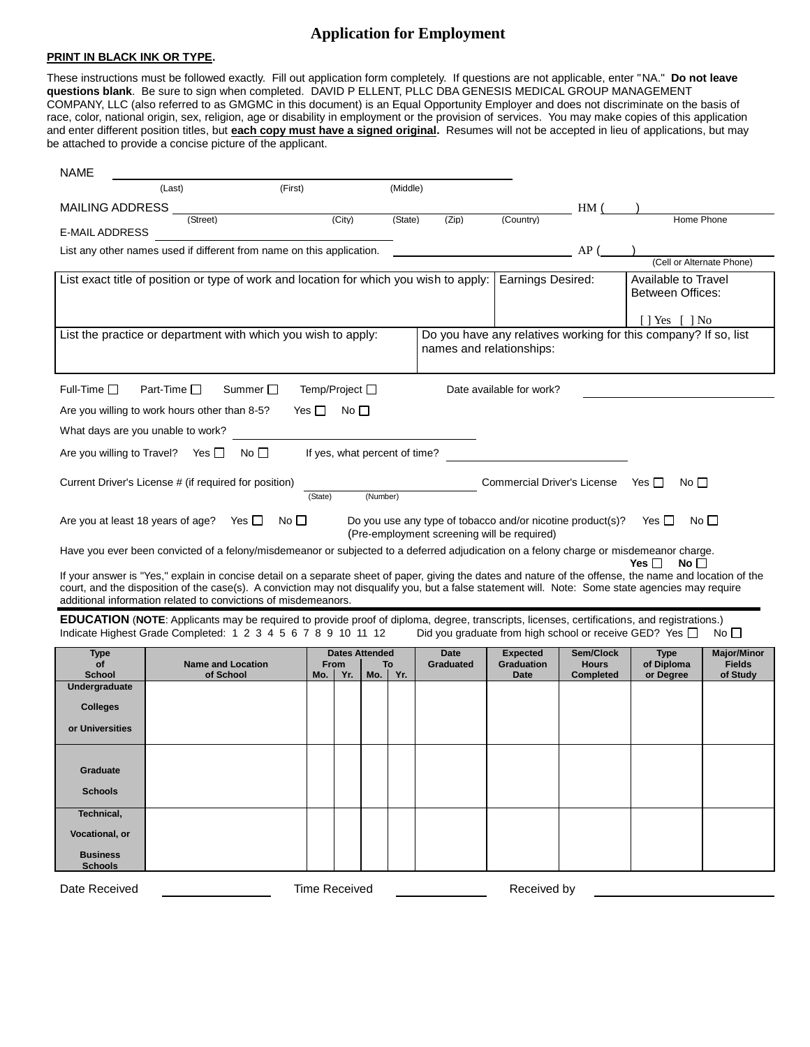### **Application for Employment**

#### **PRINT IN BLACK INK OR TYPE.**

These instructions must be followed exactly. Fill out application form completely. If questions are not applicable, enter "NA." **Do not leave questions blank**. Be sure to sign when completed. DAVID P ELLENT, PLLC DBA GENESIS MEDICAL GROUP MANAGEMENT COMPANY, LLC (also referred to as GMGMC in this document) is an Equal Opportunity Employer and does not discriminate on the basis of race, color, national origin, sex, religion, age or disability in employment or the provision of services. You may make copies of this application and enter different position titles, but **each copy must have a signed original.** Resumes will not be accepted in lieu of applications, but may be attached to provide a concise picture of the applicant.

| <b>NAME</b>                           |                                                                                                                                                                                                                     |            |                               |                 |          |                                                                                                           |                             |                                  |                                                                                   |                           |
|---------------------------------------|---------------------------------------------------------------------------------------------------------------------------------------------------------------------------------------------------------------------|------------|-------------------------------|-----------------|----------|-----------------------------------------------------------------------------------------------------------|-----------------------------|----------------------------------|-----------------------------------------------------------------------------------|---------------------------|
|                                       | (First)<br>(Last)                                                                                                                                                                                                   |            |                               |                 | (Middle) |                                                                                                           |                             |                                  |                                                                                   |                           |
| <b>MAILING ADDRESS</b>                |                                                                                                                                                                                                                     |            |                               |                 |          |                                                                                                           |                             | HM(                              |                                                                                   |                           |
| E-MAIL ADDRESS                        | (Street)                                                                                                                                                                                                            |            | (City)                        |                 | (State)  | (Zip)                                                                                                     | (Country)                   |                                  | Home Phone                                                                        |                           |
|                                       |                                                                                                                                                                                                                     |            |                               |                 |          |                                                                                                           |                             |                                  |                                                                                   |                           |
|                                       | List any other names used if different from name on this application.                                                                                                                                               |            |                               |                 |          |                                                                                                           |                             | AP(                              |                                                                                   | (Cell or Alternate Phone) |
|                                       | List exact title of position or type of work and location for which you wish to apply:                                                                                                                              |            |                               |                 |          |                                                                                                           | <b>Earnings Desired:</b>    |                                  | Available to Travel                                                               |                           |
|                                       |                                                                                                                                                                                                                     |            |                               |                 |          |                                                                                                           |                             |                                  | Between Offices:                                                                  |                           |
|                                       |                                                                                                                                                                                                                     |            |                               |                 |          |                                                                                                           |                             |                                  |                                                                                   |                           |
|                                       | List the practice or department with which you wish to apply:                                                                                                                                                       |            |                               |                 |          |                                                                                                           |                             |                                  | [   Yes [   No<br>Do you have any relatives working for this company? If so, list |                           |
|                                       |                                                                                                                                                                                                                     |            |                               |                 |          | names and relationships:                                                                                  |                             |                                  |                                                                                   |                           |
|                                       |                                                                                                                                                                                                                     |            |                               |                 |          |                                                                                                           |                             |                                  |                                                                                   |                           |
| Full-Time $\square$                   | Part-Time $\square$<br>Summer $\square$                                                                                                                                                                             |            | Temp/Project □                |                 |          |                                                                                                           | Date available for work?    |                                  |                                                                                   |                           |
|                                       |                                                                                                                                                                                                                     |            |                               |                 |          |                                                                                                           |                             |                                  |                                                                                   |                           |
|                                       | Are you willing to work hours other than 8-5?                                                                                                                                                                       | Yes $\Box$ | No                            |                 |          |                                                                                                           |                             |                                  |                                                                                   |                           |
| What days are you unable to work?     |                                                                                                                                                                                                                     |            |                               |                 |          |                                                                                                           |                             |                                  |                                                                                   |                           |
| Are you willing to Travel? Yes $\Box$ | $No$ $\Box$                                                                                                                                                                                                         |            | If yes, what percent of time? |                 |          |                                                                                                           |                             |                                  |                                                                                   |                           |
|                                       |                                                                                                                                                                                                                     |            |                               |                 |          |                                                                                                           |                             |                                  |                                                                                   |                           |
|                                       | Current Driver's License # (if required for position)                                                                                                                                                               | (State)    |                               | (Number)        |          |                                                                                                           | Commercial Driver's License |                                  | Yes $\Box$<br>No                                                                  |                           |
|                                       |                                                                                                                                                                                                                     |            |                               |                 |          |                                                                                                           |                             |                                  |                                                                                   |                           |
| Are you at least 18 years of age?     | $No \BoxYes II$                                                                                                                                                                                                     |            |                               |                 |          | Do you use any type of tobacco and/or nicotine product(s)?<br>(Pre-employment screening will be required) |                             |                                  | Yes I I                                                                           | $No \Box$                 |
|                                       |                                                                                                                                                                                                                     |            |                               |                 |          |                                                                                                           |                             |                                  |                                                                                   |                           |
|                                       | Have you ever been convicted of a felony/misdemeanor or subjected to a deferred adjudication on a felony charge or misdemeanor charge.                                                                              |            |                               |                 |          |                                                                                                           |                             |                                  | No $\Box$<br>Yes $\Box$                                                           |                           |
|                                       | If your answer is "Yes," explain in concise detail on a separate sheet of paper, giving the dates and nature of the offense, the name and location of the                                                           |            |                               |                 |          |                                                                                                           |                             |                                  |                                                                                   |                           |
|                                       | court, and the disposition of the case(s). A conviction may not disqualify you, but a false statement will. Note: Some state agencies may require<br>additional information related to convictions of misdemeanors. |            |                               |                 |          |                                                                                                           |                             |                                  |                                                                                   |                           |
|                                       | <b>EDUCATION</b> (NOTE: Applicants may be required to provide proof of diploma, degree, transcripts, licenses, certifications, and registrations.)                                                                  |            |                               |                 |          |                                                                                                           |                             |                                  |                                                                                   |                           |
|                                       | Indicate Highest Grade Completed: 1 2 3 4 5 6 7 8 9 10 11 12                                                                                                                                                        |            |                               |                 |          |                                                                                                           |                             |                                  | Did you graduate from high school or receive GED? Yes □                           | No <sub>1</sub>           |
| <b>Type</b>                           |                                                                                                                                                                                                                     |            | <b>Dates Attended</b>         |                 |          | <b>Date</b>                                                                                               | <b>Expected</b>             | Sem/Clock                        | <b>Type</b>                                                                       | <b>Major/Minor</b>        |
| of<br><b>School</b>                   | <b>Name and Location</b><br>of School                                                                                                                                                                               | Mo.        | From<br>Yr.                   | To<br>Mo.   Yr. |          | Graduated                                                                                                 | <b>Graduation</b><br>Date   | <b>Hours</b><br><b>Completed</b> | of Diploma<br>or Degree                                                           | <b>Fields</b><br>of Study |
| Undergraduate                         |                                                                                                                                                                                                                     |            |                               |                 |          |                                                                                                           |                             |                                  |                                                                                   |                           |
| <b>Colleges</b>                       |                                                                                                                                                                                                                     |            |                               |                 |          |                                                                                                           |                             |                                  |                                                                                   |                           |
| or Universities                       |                                                                                                                                                                                                                     |            |                               |                 |          |                                                                                                           |                             |                                  |                                                                                   |                           |
|                                       |                                                                                                                                                                                                                     |            |                               |                 |          |                                                                                                           |                             |                                  |                                                                                   |                           |
|                                       |                                                                                                                                                                                                                     |            |                               |                 |          |                                                                                                           |                             |                                  |                                                                                   |                           |
| Graduate                              |                                                                                                                                                                                                                     |            |                               |                 |          |                                                                                                           |                             |                                  |                                                                                   |                           |
| <b>Schools</b>                        |                                                                                                                                                                                                                     |            |                               |                 |          |                                                                                                           |                             |                                  |                                                                                   |                           |
| Technical,                            |                                                                                                                                                                                                                     |            |                               |                 |          |                                                                                                           |                             |                                  |                                                                                   |                           |
| Vocational, or                        |                                                                                                                                                                                                                     |            |                               |                 |          |                                                                                                           |                             |                                  |                                                                                   |                           |
|                                       |                                                                                                                                                                                                                     |            |                               |                 |          |                                                                                                           |                             |                                  |                                                                                   |                           |
| <b>Business</b><br><b>Schools</b>     |                                                                                                                                                                                                                     |            |                               |                 |          |                                                                                                           |                             |                                  |                                                                                   |                           |
| Date Received                         |                                                                                                                                                                                                                     |            | <b>Time Received</b>          |                 |          |                                                                                                           | Received by                 |                                  |                                                                                   |                           |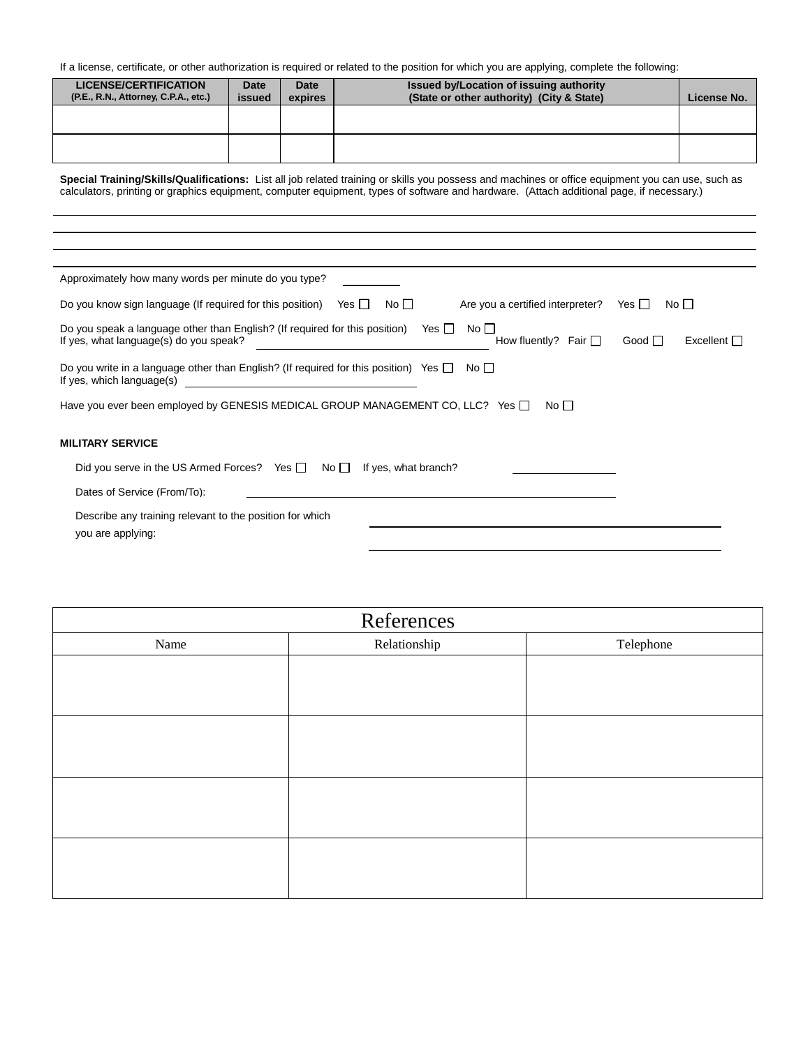If a license, certificate, or other authorization is required or related to the position for which you are applying, complete the following:

| <b>LICENSE/CERTIFICATION</b><br>(P.E., R.N., Attorney, C.P.A., etc.) | Date<br>issued | Date<br>expires | Issued by/Location of issuing authority<br>(State or other authority) (City & State) | License No. |
|----------------------------------------------------------------------|----------------|-----------------|--------------------------------------------------------------------------------------|-------------|
|                                                                      |                |                 |                                                                                      |             |
|                                                                      |                |                 |                                                                                      |             |

**Special Training/Skills/Qualifications:** List all job related training or skills you possess and machines or office equipment you can use, such as calculators, printing or graphics equipment, computer equipment, types of software and hardware. (Attach additional page, if necessary.)

| Approximately how many words per minute do you type?                                                                                                                                                  |
|-------------------------------------------------------------------------------------------------------------------------------------------------------------------------------------------------------|
| Are you a certified interpreter?<br>Do you know sign language (If required for this position)<br>Yes I I<br>$No \BoxNo1Yes II$                                                                        |
| Do you speak a language other than English? (If required for this position) Yes $\Box$<br>No <sub>1</sub><br>If yes, what language(s) do you speak?<br>Excellent<br>How fluently? Fair $\Box$<br>Good |
| Do you write in a language other than English? (If required for this position) Yes $\Box$<br>$No \BoxIf yes, which language(s) 1980 - Jan Samuel Barbara, martin di$                                  |
| Have you ever been employed by GENESIS MEDICAL GROUP MANAGEMENT CO, LLC? Yes $\Box$<br>No $\Box$                                                                                                      |
| <b>MILITARY SERVICE</b>                                                                                                                                                                               |
| Did you serve in the US Armed Forces? Yes $\Box$ No $\Box$<br>If yes, what branch?                                                                                                                    |
| Dates of Service (From/To):                                                                                                                                                                           |
| Describe any training relevant to the position for which<br>you are applying:                                                                                                                         |

| References |              |           |  |  |  |  |  |
|------------|--------------|-----------|--|--|--|--|--|
| Name       | Relationship | Telephone |  |  |  |  |  |
|            |              |           |  |  |  |  |  |
|            |              |           |  |  |  |  |  |
|            |              |           |  |  |  |  |  |
|            |              |           |  |  |  |  |  |
|            |              |           |  |  |  |  |  |
|            |              |           |  |  |  |  |  |
|            |              |           |  |  |  |  |  |
|            |              |           |  |  |  |  |  |
|            |              |           |  |  |  |  |  |
|            |              |           |  |  |  |  |  |
|            |              |           |  |  |  |  |  |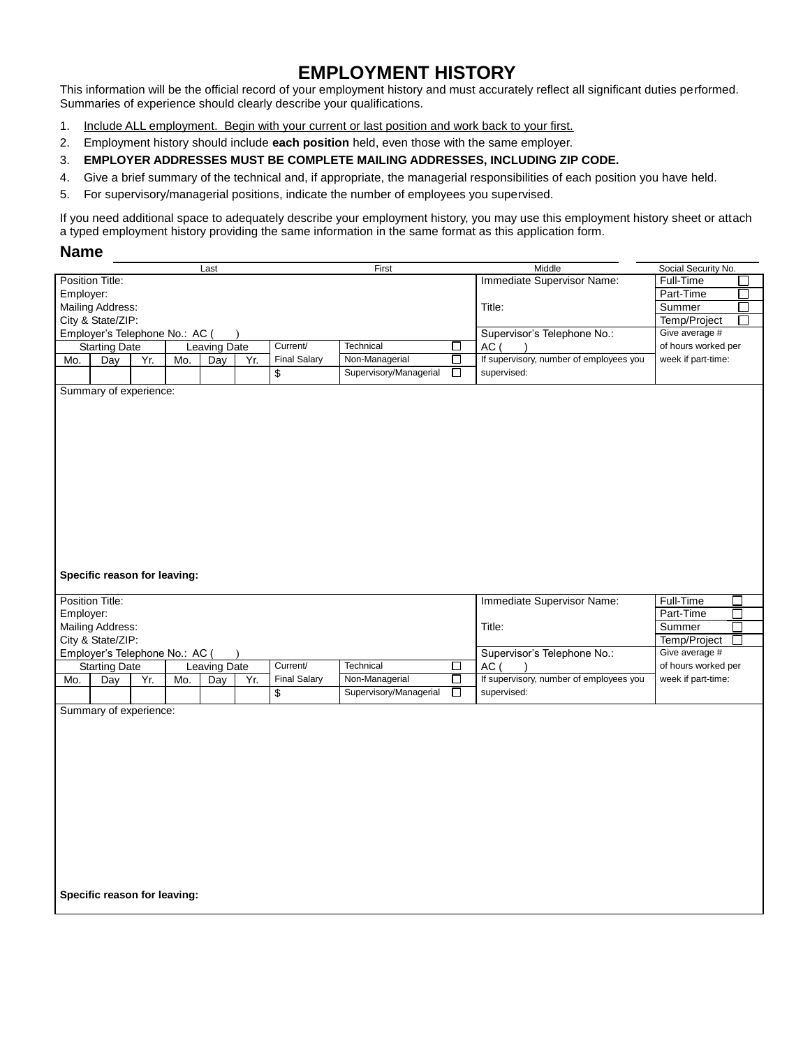# **EMPLOYMENT HISTORY**

This information will be the official record of your employment history and must accurately reflect all significant duties performed. Summaries of experience should clearly describe your qualifications.

- 1. Include ALL employment. Begin with your current or last position and work back to your first.
- 2. Employment history should include **each position** held, even those with the same employer.
- 3. **EMPLOYER ADDRESSES MUST BE COMPLETE MAILING ADDRESSES, INCLUDING ZIP CODE.**
- 4. Give a brief summary of the technical and, if appropriate, the managerial responsibilities of each position you have held.
- 5. For supervisory/managerial positions, indicate the number of employees you supervised.

If you need additional space to adequately describe your employment history, you may use this employment history sheet or attach a typed employment history providing the same information in the same format as this application form.

#### **Name**

|                  |                                      |     |     | Last                |                            |                     | First                  |                                               | Middle                                  | Social Security No.        |
|------------------|--------------------------------------|-----|-----|---------------------|----------------------------|---------------------|------------------------|-----------------------------------------------|-----------------------------------------|----------------------------|
| Position Title:  |                                      |     |     |                     |                            |                     |                        |                                               | Immediate Supervisor Name:              | Full-Time                  |
| Employer:        |                                      |     |     |                     |                            |                     |                        |                                               |                                         | Part-Time                  |
| Mailing Address: |                                      |     |     |                     |                            |                     |                        |                                               | Title:                                  | Summer<br>$\Box$           |
|                  | City & State/ZIP:                    |     |     |                     |                            |                     |                        |                                               | Temp/Project<br>I.                      |                            |
|                  | Employer's Telephone No.: AC (       |     |     |                     |                            |                     |                        | Supervisor's Telephone No.:<br>Give average # |                                         |                            |
|                  |                                      |     |     |                     |                            |                     |                        |                                               |                                         |                            |
|                  | <b>Starting Date</b><br>Leaving Date |     |     |                     | Current/<br>Technical<br>□ |                     |                        | AC (                                          | of hours worked per                     |                            |
| Mo.              | Day                                  | Yr. | Mo. | Day                 | Yr.                        | <b>Final Salary</b> | Non-Managerial         | $\Box$                                        | If supervisory, number of employees you | week if part-time:         |
|                  |                                      |     |     |                     |                            | \$                  | Supervisory/Managerial | $\Box$                                        | supervised:                             |                            |
|                  | Summary of experience:               |     |     |                     |                            |                     |                        |                                               |                                         |                            |
|                  |                                      |     |     |                     |                            |                     |                        |                                               |                                         |                            |
|                  |                                      |     |     |                     |                            |                     |                        |                                               |                                         |                            |
|                  |                                      |     |     |                     |                            |                     |                        |                                               |                                         |                            |
|                  |                                      |     |     |                     |                            |                     |                        |                                               |                                         |                            |
|                  |                                      |     |     |                     |                            |                     |                        |                                               |                                         |                            |
|                  |                                      |     |     |                     |                            |                     |                        |                                               |                                         |                            |
|                  |                                      |     |     |                     |                            |                     |                        |                                               |                                         |                            |
|                  |                                      |     |     |                     |                            |                     |                        |                                               |                                         |                            |
|                  |                                      |     |     |                     |                            |                     |                        |                                               |                                         |                            |
|                  |                                      |     |     |                     |                            |                     |                        |                                               |                                         |                            |
|                  |                                      |     |     |                     |                            |                     |                        |                                               |                                         |                            |
|                  |                                      |     |     |                     |                            |                     |                        |                                               |                                         |                            |
|                  |                                      |     |     |                     |                            |                     |                        |                                               |                                         |                            |
|                  |                                      |     |     |                     |                            |                     |                        |                                               |                                         |                            |
|                  |                                      |     |     |                     |                            |                     |                        |                                               |                                         |                            |
|                  | Specific reason for leaving:         |     |     |                     |                            |                     |                        |                                               |                                         |                            |
|                  |                                      |     |     |                     |                            |                     |                        |                                               |                                         |                            |
|                  | Position Title:                      |     |     |                     |                            |                     |                        |                                               | Immediate Supervisor Name:              | Full-Time<br>$\mathcal{L}$ |
|                  |                                      |     |     |                     |                            |                     |                        |                                               |                                         |                            |
| Employer:        |                                      |     |     |                     |                            |                     |                        |                                               |                                         |                            |
|                  |                                      |     |     |                     |                            |                     |                        |                                               |                                         | Part-Time<br>П             |
|                  | Mailing Address:                     |     |     |                     |                            |                     |                        |                                               | Title:                                  | Summer<br>П                |
|                  | City & State/ZIP:                    |     |     |                     |                            |                     |                        |                                               |                                         | Temp/Project<br>П          |
|                  |                                      |     |     |                     | $\lambda$                  |                     |                        |                                               |                                         | Give average #             |
|                  | Employer's Telephone No.: AC (       |     |     |                     |                            | Current/            |                        |                                               | Supervisor's Telephone No.:             |                            |
|                  | <b>Starting Date</b>                 |     |     | <b>Leaving Date</b> |                            |                     | Technical              | □                                             | AC (                                    | of hours worked per        |
| Mo.              | Day                                  | Yr. | Mo. | Day                 | Yr.                        | <b>Final Salary</b> | Non-Managerial         | □                                             | If supervisory, number of employees you | week if part-time:         |
|                  |                                      |     |     |                     |                            | \$                  | Supervisory/Managerial | □                                             | supervised:                             |                            |
|                  |                                      |     |     |                     |                            |                     |                        |                                               |                                         |                            |
|                  | Summary of experience:               |     |     |                     |                            |                     |                        |                                               |                                         |                            |
|                  |                                      |     |     |                     |                            |                     |                        |                                               |                                         |                            |
|                  |                                      |     |     |                     |                            |                     |                        |                                               |                                         |                            |
|                  |                                      |     |     |                     |                            |                     |                        |                                               |                                         |                            |
|                  |                                      |     |     |                     |                            |                     |                        |                                               |                                         |                            |
|                  |                                      |     |     |                     |                            |                     |                        |                                               |                                         |                            |
|                  |                                      |     |     |                     |                            |                     |                        |                                               |                                         |                            |
|                  |                                      |     |     |                     |                            |                     |                        |                                               |                                         |                            |
|                  |                                      |     |     |                     |                            |                     |                        |                                               |                                         |                            |
|                  |                                      |     |     |                     |                            |                     |                        |                                               |                                         |                            |
|                  |                                      |     |     |                     |                            |                     |                        |                                               |                                         |                            |
|                  |                                      |     |     |                     |                            |                     |                        |                                               |                                         |                            |
|                  |                                      |     |     |                     |                            |                     |                        |                                               |                                         |                            |
|                  |                                      |     |     |                     |                            |                     |                        |                                               |                                         |                            |
|                  |                                      |     |     |                     |                            |                     |                        |                                               |                                         |                            |
|                  |                                      |     |     |                     |                            |                     |                        |                                               |                                         |                            |
|                  | Specific reason for leaving:         |     |     |                     |                            |                     |                        |                                               |                                         |                            |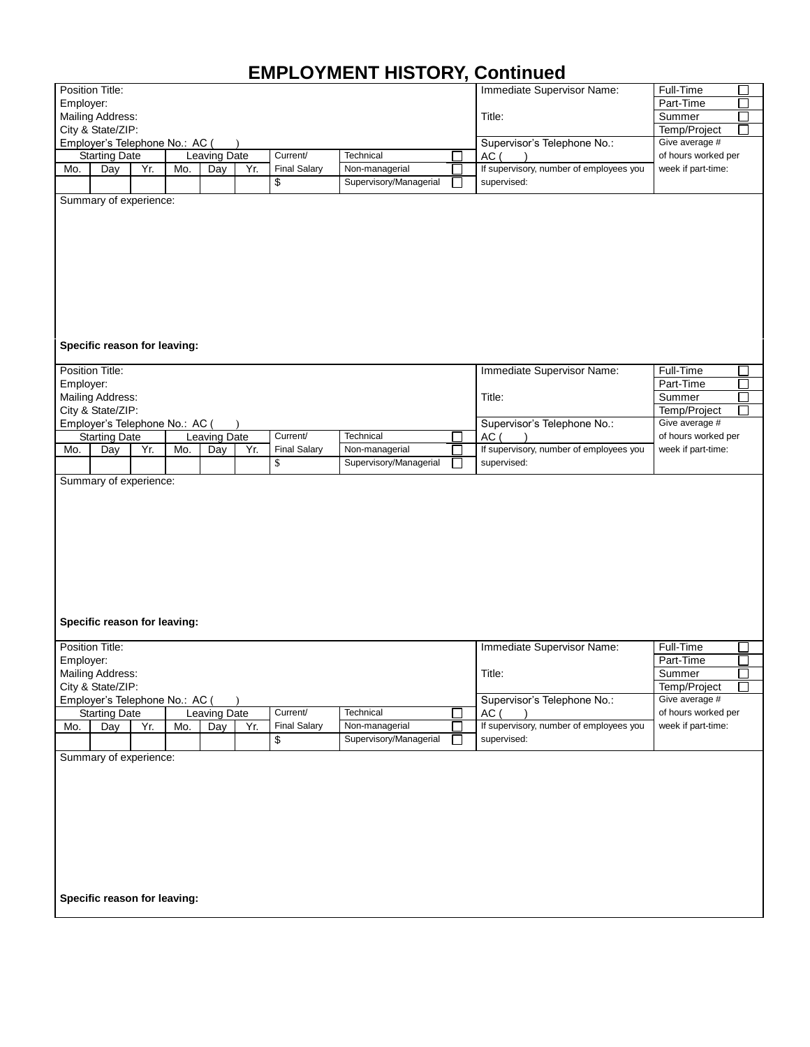# **EMPLOYMENT HISTORY, Continued**

|                            | Position Title:                                        |     |     |              |           |                     |                        | Immediate Supervisor Name:              | Full-Time           |  |  |
|----------------------------|--------------------------------------------------------|-----|-----|--------------|-----------|---------------------|------------------------|-----------------------------------------|---------------------|--|--|
| Employer:                  |                                                        |     |     |              |           |                     |                        |                                         | Part-Time           |  |  |
| Mailing Address:<br>Title: |                                                        |     |     |              |           |                     | Г<br>Summer            |                                         |                     |  |  |
|                            | City & State/ZIP:                                      |     |     |              |           |                     |                        |                                         | Temp/Project        |  |  |
|                            | Employer's Telephone No.: AC (                         |     |     |              |           |                     |                        | Supervisor's Telephone No.:             | Give average #      |  |  |
|                            | <b>Starting Date</b>                                   |     |     | Leaving Date |           | Current/            | Technical              | AC (                                    | of hours worked per |  |  |
| Mo.                        | Day                                                    | Yr. | Mo. | Day          | Yr.       | <b>Final Salary</b> | Non-managerial         | If supervisory, number of employees you | week if part-time:  |  |  |
|                            |                                                        |     |     |              |           | \$                  | Supervisory/Managerial | supervised:                             |                     |  |  |
|                            | Summary of experience:<br>Specific reason for leaving: |     |     |              |           |                     |                        |                                         |                     |  |  |
|                            | Position Title:                                        |     |     |              |           |                     |                        | Immediate Supervisor Name:              | Full-Time           |  |  |
| Employer:                  |                                                        |     |     |              |           |                     |                        |                                         | Part-Time           |  |  |
|                            | Mailing Address:                                       |     |     |              |           |                     |                        | Title:                                  | Summer              |  |  |
|                            | City & State/ZIP:                                      |     |     |              |           |                     |                        |                                         | Temp/Project        |  |  |
|                            | Employer's Telephone No.: AC (                         |     |     |              | $\lambda$ |                     |                        | Supervisor's Telephone No.:             | Give average #      |  |  |
|                            | <b>Starting Date</b>                                   |     |     | Leaving Date |           | Current/            | Technical              | AC (                                    | of hours worked per |  |  |
| Mo.                        | Day                                                    | Yr. | Mo. | Day          | Yr.       | <b>Final Salary</b> | Non-managerial         | If supervisory, number of employees you | week if part-time:  |  |  |
|                            |                                                        |     |     |              |           | \$                  | Supervisory/Managerial | supervised:                             |                     |  |  |
|                            | Specific reason for leaving:                           |     |     |              |           |                     |                        |                                         |                     |  |  |
|                            | Position Title:                                        |     |     |              |           |                     |                        | Immediate Supervisor Name:              | Full-Time           |  |  |
| Employer:                  |                                                        |     |     |              |           |                     |                        |                                         | Part-Time           |  |  |
|                            | Mailing Address:                                       |     |     |              |           |                     |                        | Title:                                  | Summer              |  |  |
|                            | City & State/ZIP:                                      |     |     |              |           |                     |                        |                                         | Temp/Project        |  |  |
|                            | Employer's Telephone No.: AC (                         |     |     |              |           |                     |                        | Supervisor's Telephone No.:             | Give average #      |  |  |
|                            | <b>Starting Date</b>                                   |     |     | Leaving Date |           | Current/            | Technical              | AC (                                    | of hours worked per |  |  |
| Mo.                        | Day                                                    | Yr. | Mo. | Day          | Yr.       | <b>Final Salary</b> | Non-managerial         | If supervisory, number of employees you | week if part-time:  |  |  |
|                            |                                                        |     |     |              |           | \$                  | Supervisory/Managerial | supervised:                             |                     |  |  |
|                            | Summary of experience:                                 |     |     |              |           |                     |                        |                                         |                     |  |  |
|                            | Specific reason for leaving:                           |     |     |              |           |                     |                        |                                         |                     |  |  |
|                            |                                                        |     |     |              |           |                     |                        |                                         |                     |  |  |